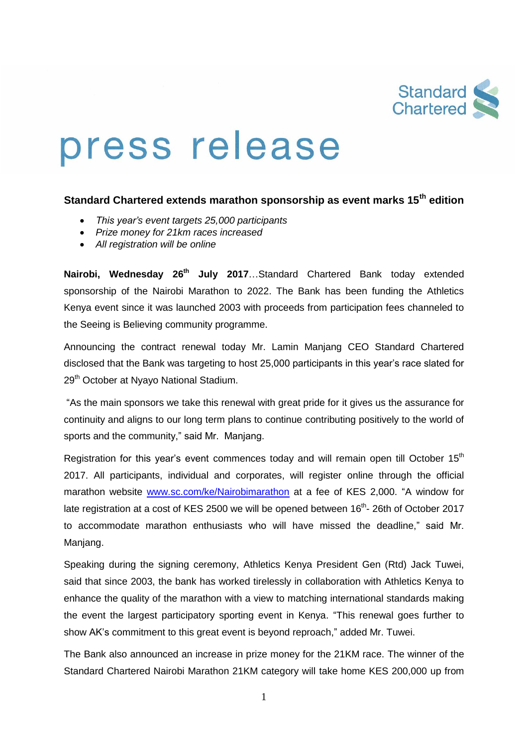

# press release

## **Standard Chartered extends marathon sponsorship as event marks 15th edition**

- *This year's event targets 25,000 participants*
- *Prize money for 21km races increased*
- *All registration will be online*

**Nairobi, Wednesday 26 th July 2017**…Standard Chartered Bank today extended sponsorship of the Nairobi Marathon to 2022. The Bank has been funding the Athletics Kenya event since it was launched 2003 with proceeds from participation fees channeled to the Seeing is Believing community programme.

Announcing the contract renewal today Mr. Lamin Manjang CEO Standard Chartered disclosed that the Bank was targeting to host 25,000 participants in this year's race slated for 29<sup>th</sup> October at Nyayo National Stadium.

"As the main sponsors we take this renewal with great pride for it gives us the assurance for continuity and aligns to our long term plans to continue contributing positively to the world of sports and the community," said Mr. Manjang.

Registration for this year's event commences today and will remain open till October  $15<sup>th</sup>$ 2017. All participants, individual and corporates, will register online through the official marathon website [www.sc.com/ke/Nairobimarathon](http://www.sc.com/ke/Nairobimarathon) at a fee of KES 2,000. "A window for late registration at a cost of KES 2500 we will be opened between 16<sup>th</sup>- 26th of October 2017 to accommodate marathon enthusiasts who will have missed the deadline," said Mr. Manjang.

Speaking during the signing ceremony, Athletics Kenya President Gen (Rtd) Jack Tuwei, said that since 2003, the bank has worked tirelessly in collaboration with Athletics Kenya to enhance the quality of the marathon with a view to matching international standards making the event the largest participatory sporting event in Kenya. "This renewal goes further to show AK's commitment to this great event is beyond reproach," added Mr. Tuwei.

The Bank also announced an increase in prize money for the 21KM race. The winner of the Standard Chartered Nairobi Marathon 21KM category will take home KES 200,000 up from

1